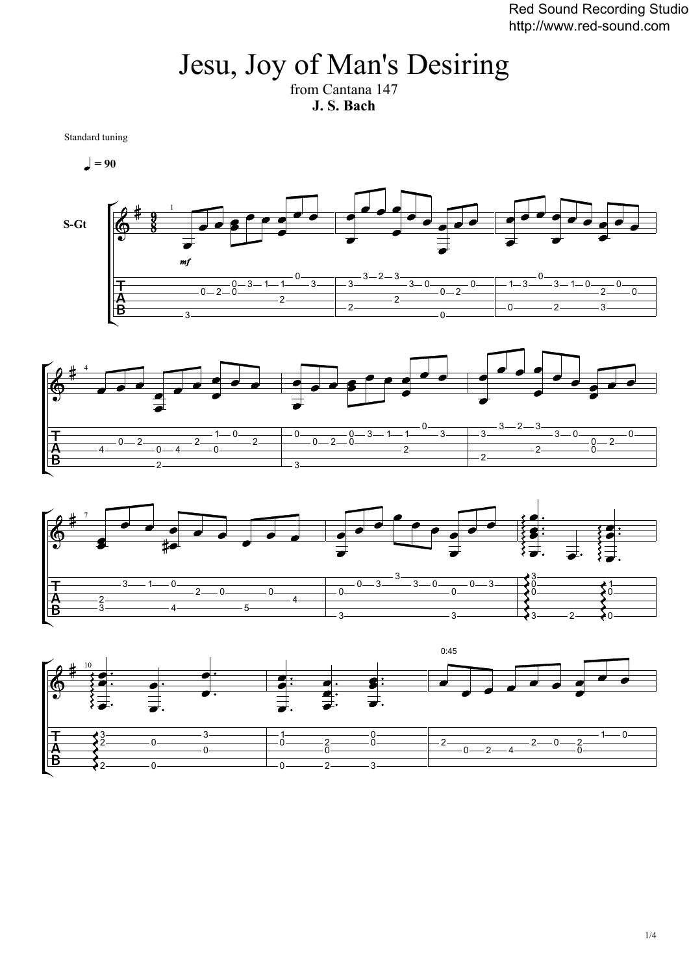## Jesu, Joy of Man's Desiring from Cantana 147

**J. S. Bach**

Standard tuning

$$
\rule{0pt}{2ex} = 90
$$







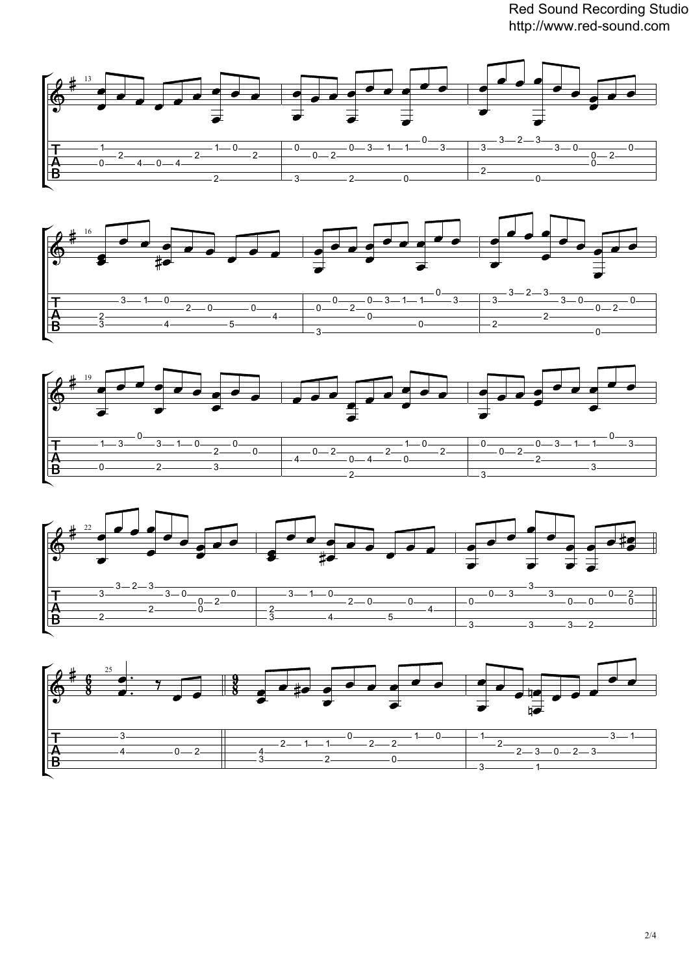Red Sound Recording Studio http://www.red-sound.com









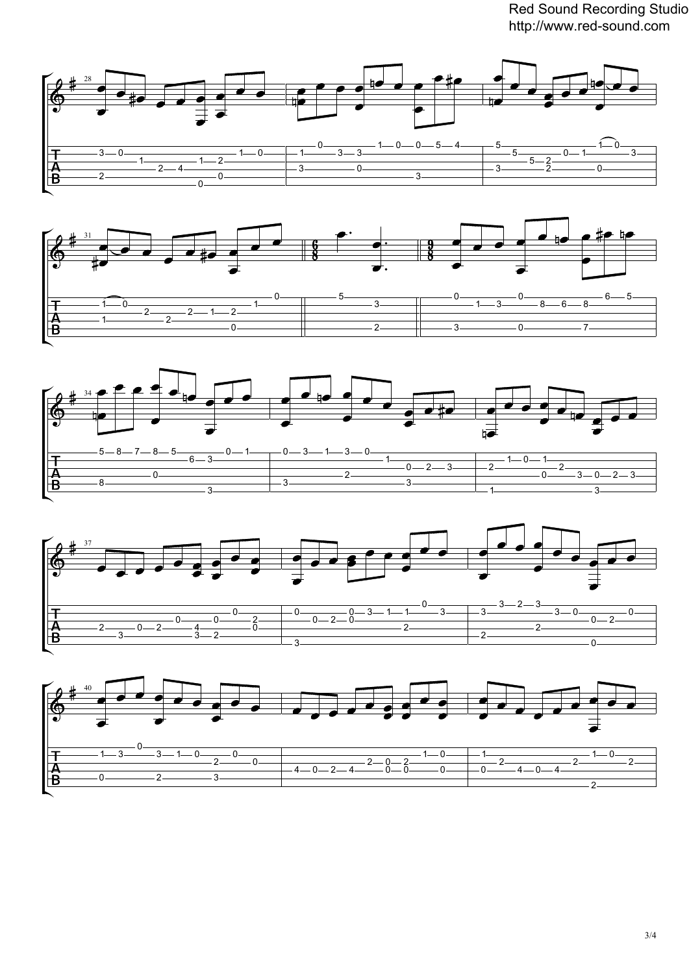Red Sound Recording Studio http://www.red-sound.com